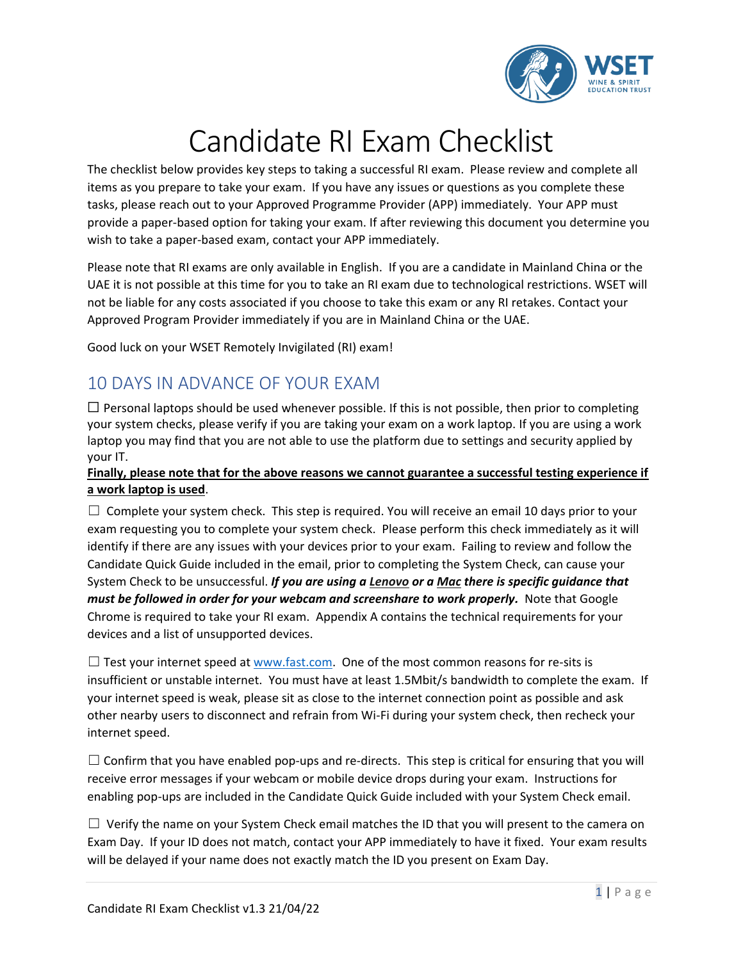

## Candidate RI Exam Checklist

The checklist below provides key steps to taking a successful RI exam. Please review and complete all items as you prepare to take your exam. If you have any issues or questions as you complete these tasks, please reach out to your Approved Programme Provider (APP) immediately. Your APP must provide a paper-based option for taking your exam. If after reviewing this document you determine you wish to take a paper-based exam, contact your APP immediately.

Please note that RI exams are only available in English. If you are a candidate in Mainland China or the UAE it is not possible at this time for you to take an RI exam due to technological restrictions. WSET will not be liable for any costs associated if you choose to take this exam or any RI retakes. Contact your Approved Program Provider immediately if you are in Mainland China or the UAE.

Good luck on your WSET Remotely Invigilated (RI) exam!

## 10 DAYS IN ADVANCE OF YOUR EXAM

 $\Box$  Personal laptops should be used whenever possible. If this is not possible, then prior to completing your system checks, please verify if you are taking your exam on a work laptop. If you are using a work laptop you may find that you are not able to use the platform due to settings and security applied by your IT.

#### **Finally, please note that for the above reasons we cannot guarantee a successful testing experience if a work laptop is used**.

 $\Box$  Complete your system check. This step is required. You will receive an email 10 days prior to your exam requesting you to complete your system check. Please perform this check immediately as it will identify if there are any issues with your devices prior to your exam. Failing to review and follow the Candidate Quick Guide included in the email, prior to completing the System Check, can cause your System Check to be unsuccessful. *If you are using a Lenovo or a Mac there is specific guidance that must be followed in order for your webcam and screenshare to work properly.* Note that Google Chrome is required to take your RI exam. Appendix A contains the technical requirements for your devices and a list of unsupported devices.

 $\square$  Test your internet speed at [www.fast.com.](http://www.fast.com/) One of the most common reasons for re-sits is insufficient or unstable internet. You must have at least 1.5Mbit/s bandwidth to complete the exam. If your internet speed is weak, please sit as close to the internet connection point as possible and ask other nearby users to disconnect and refrain from Wi-Fi during your system check, then recheck your internet speed.

 $\Box$  Confirm that you have enabled pop-ups and re-directs. This step is critical for ensuring that you will receive error messages if your webcam or mobile device drops during your exam. Instructions for enabling pop-ups are included in the Candidate Quick Guide included with your System Check email.

 $\Box$  Verify the name on your System Check email matches the ID that you will present to the camera on Exam Day. If your ID does not match, contact your APP immediately to have it fixed. Your exam results will be delayed if your name does not exactly match the ID you present on Exam Day.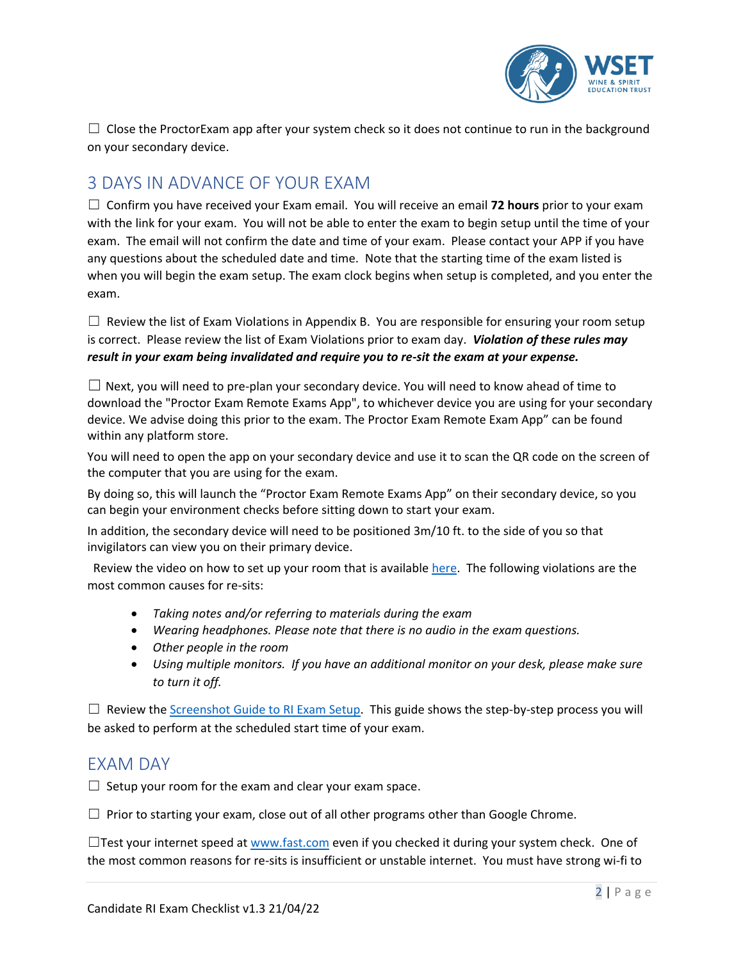

 $\Box$  Close the ProctorExam app after your system check so it does not continue to run in the background on your secondary device.

### 3 DAYS IN ADVANCE OF YOUR EXAM

☐ Confirm you have received your Exam email. You will receive an email **72 hours** prior to your exam with the link for your exam. You will not be able to enter the exam to begin setup until the time of your exam. The email will not confirm the date and time of your exam. Please contact your APP if you have any questions about the scheduled date and time. Note that the starting time of the exam listed is when you will begin the exam setup. The exam clock begins when setup is completed, and you enter the exam.

 $\Box$  Review the list of Exam Violations in Appendix B. You are responsible for ensuring your room setup is correct. Please review the list of Exam Violations prior to exam day. *Violation of these rules may result in your exam being invalidated and require you to re-sit the exam at your expense.*

 $\Box$  Next, you will need to pre-plan your secondary device. You will need to know ahead of time to download the "Proctor Exam Remote Exams App", to whichever device you are using for your secondary device. We advise doing this prior to the exam. The Proctor Exam Remote Exam App" can be found within any platform store.

You will need to open the app on your secondary device and use it to scan the QR code on the screen of the computer that you are using for the exam.

By doing so, this will launch the "Proctor Exam Remote Exams App" on their secondary device, so you can begin your environment checks before sitting down to start your exam.

In addition, the secondary device will need to be positioned 3m/10 ft. to the side of you so that invigilators can view you on their primary device.

 Review the video on how to set up your room that is available [here.](https://youtu.be/DarWJz6dUbU) The following violations are the most common causes for re-sits:

- *Taking notes and/or referring to materials during the exam*
- *Wearing headphones. Please note that there is no audio in the exam questions.*
- *Other people in the room*
- *Using multiple monitors. If you have an additional monitor on your desk, please make sure to turn it off.*

 $\Box$  Review the [Screenshot Guide](https://www.wsetglobal.com/media/9260/screenshot-guide-to-ri-exam-setup.pdf) to RI Exam Setup. This guide shows the step-by-step process you will be asked to perform at the scheduled start time of your exam.

### EXAM DAY

 $\Box$  Setup your room for the exam and clear your exam space.

 $\Box$  Prior to starting your exam, close out of all other programs other than Google Chrome.

□Test your internet speed a[t www.fast.com](http://www.fast.com/) even if you checked it during your system check. One of the most common reasons for re-sits is insufficient or unstable internet. You must have strong wi-fi to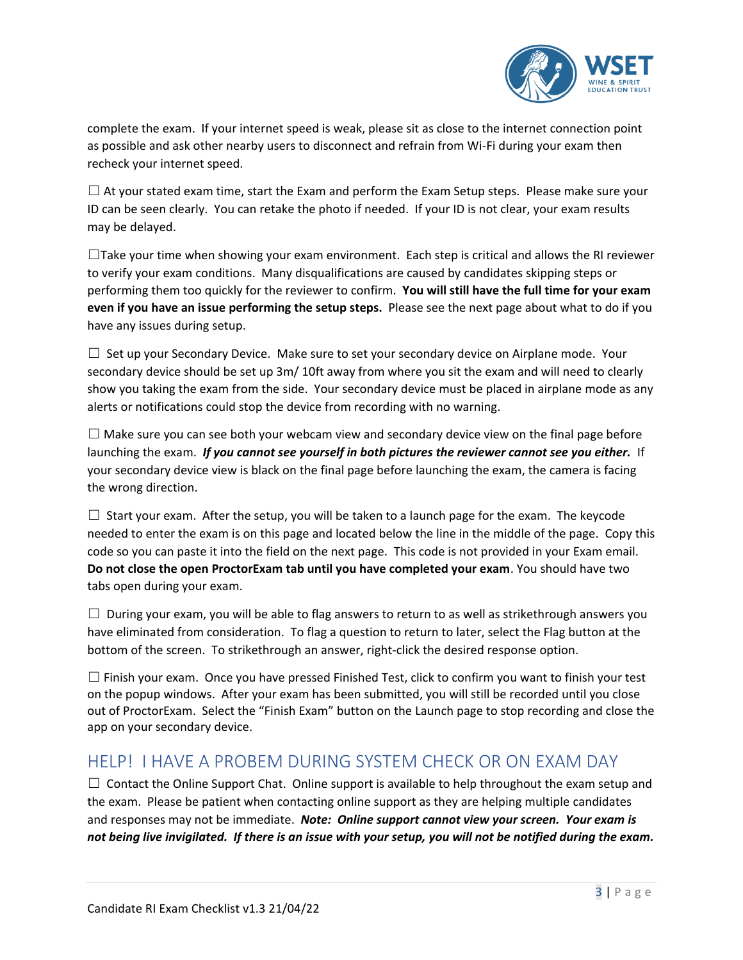

complete the exam. If your internet speed is weak, please sit as close to the internet connection point as possible and ask other nearby users to disconnect and refrain from Wi-Fi during your exam then recheck your internet speed.

 $\Box$  At your stated exam time, start the Exam and perform the Exam Setup steps. Please make sure your ID can be seen clearly. You can retake the photo if needed. If your ID is not clear, your exam results may be delayed.

 $\Box$ Take your time when showing your exam environment. Each step is critical and allows the RI reviewer to verify your exam conditions. Many disqualifications are caused by candidates skipping steps or performing them too quickly for the reviewer to confirm. **You will still have the full time for your exam even if you have an issue performing the setup steps.** Please see the next page about what to do if you have any issues during setup.

 $\Box$  Set up your Secondary Device. Make sure to set your secondary device on Airplane mode. Your secondary device should be set up 3m/ 10ft away from where you sit the exam and will need to clearly show you taking the exam from the side. Your secondary device must be placed in airplane mode as any alerts or notifications could stop the device from recording with no warning.

 $\Box$  Make sure you can see both your webcam view and secondary device view on the final page before launching the exam. *If you cannot see yourself in both pictures the reviewer cannot see you either.* If your secondary device view is black on the final page before launching the exam, the camera is facing the wrong direction.

 $\Box$  Start your exam. After the setup, you will be taken to a launch page for the exam. The keycode needed to enter the exam is on this page and located below the line in the middle of the page. Copy this code so you can paste it into the field on the next page. This code is not provided in your Exam email. **Do not close the open ProctorExam tab until you have completed your exam**. You should have two tabs open during your exam.

 $\Box$  During your exam, you will be able to flag answers to return to as well as strikethrough answers you have eliminated from consideration. To flag a question to return to later, select the Flag button at the bottom of the screen. To strikethrough an answer, right-click the desired response option.

 $\square$  Finish your exam. Once you have pressed Finished Test, click to confirm you want to finish your test on the popup windows. After your exam has been submitted, you will still be recorded until you close out of ProctorExam. Select the "Finish Exam" button on the Launch page to stop recording and close the app on your secondary device.

### HELP! I HAVE A PROBEM DURING SYSTEM CHECK OR ON EXAM DAY

 $\Box$  Contact the Online Support Chat. Online support is available to help throughout the exam setup and the exam. Please be patient when contacting online support as they are helping multiple candidates and responses may not be immediate. *Note: Online support cannot view your screen. Your exam is not being live invigilated. If there is an issue with your setup, you will not be notified during the exam.*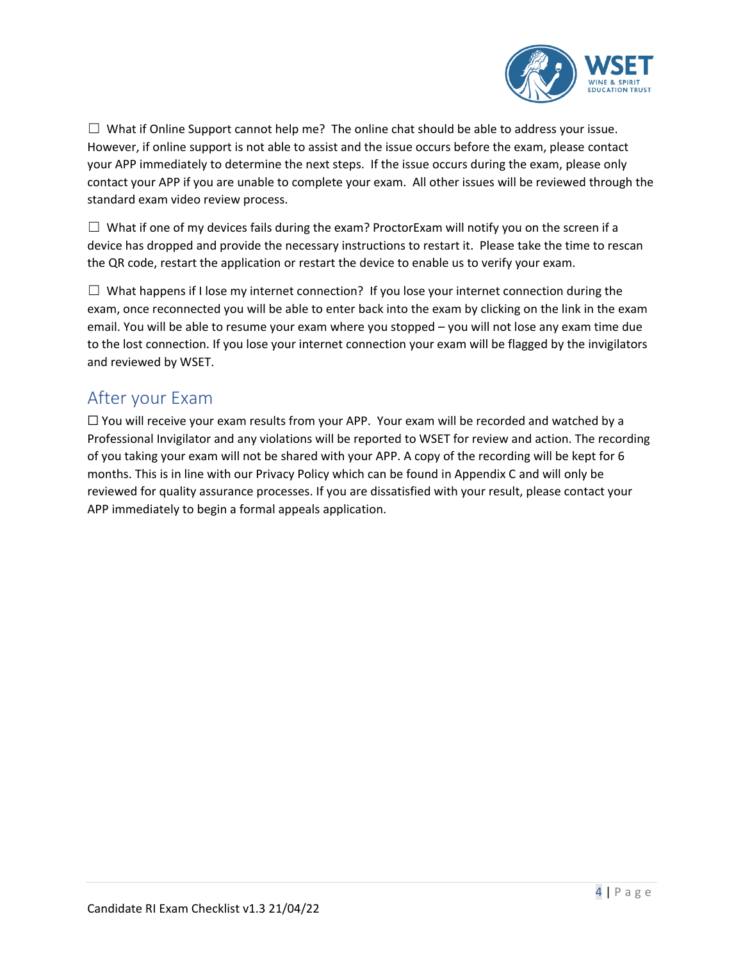

 $\Box$  What if Online Support cannot help me? The online chat should be able to address your issue. However, if online support is not able to assist and the issue occurs before the exam, please contact your APP immediately to determine the next steps. If the issue occurs during the exam, please only contact your APP if you are unable to complete your exam. All other issues will be reviewed through the standard exam video review process.

 $\Box$  What if one of my devices fails during the exam? ProctorExam will notify you on the screen if a device has dropped and provide the necessary instructions to restart it. Please take the time to rescan the QR code, restart the application or restart the device to enable us to verify your exam.

 $\Box$  What happens if I lose my internet connection? If you lose your internet connection during the exam, once reconnected you will be able to enter back into the exam by clicking on the link in the exam email. You will be able to resume your exam where you stopped – you will not lose any exam time due to the lost connection. If you lose your internet connection your exam will be flagged by the invigilators and reviewed by WSET.

## After your Exam

 $\Box$  You will receive your exam results from your APP. Your exam will be recorded and watched by a Professional Invigilator and any violations will be reported to WSET for review and action. The recording of you taking your exam will not be shared with your APP. A copy of the recording will be kept for 6 months. This is in line with our Privacy Policy which can be found in Appendix C and will only be reviewed for quality assurance processes. If you are dissatisfied with your result, please contact your APP immediately to begin a formal appeals application.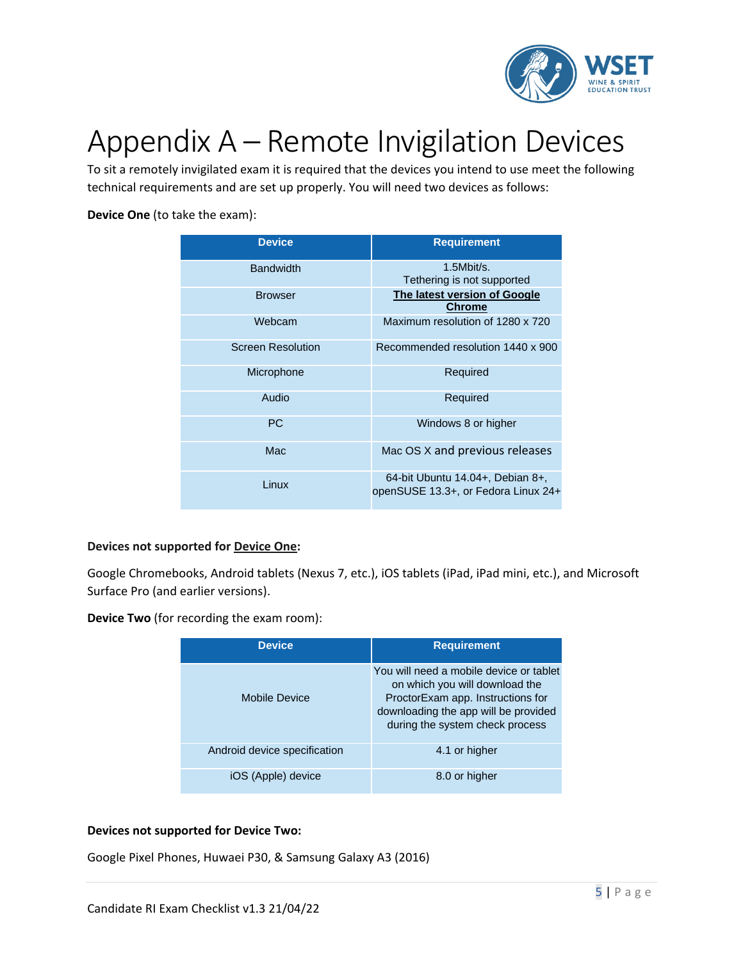

# Appendix A – Remote Invigilation Devices

To sit a remotely invigilated exam it is required that the devices you intend to use meet the following technical requirements and are set up properly. You will need two devices as follows:

#### **Device One** (to take the exam):

| <b>Device</b>            | <b>Requirement</b>                                                      |
|--------------------------|-------------------------------------------------------------------------|
| <b>Bandwidth</b>         | $1.5$ Mbit/s.<br>Tethering is not supported                             |
| <b>Browser</b>           | The latest version of Google<br><b>Chrome</b>                           |
| Webcam                   | Maximum resolution of 1280 x 720                                        |
| <b>Screen Resolution</b> | Recommended resolution 1440 x 900                                       |
| Microphone               | Required                                                                |
| Audio                    | Required                                                                |
| <b>PC</b>                | Windows 8 or higher                                                     |
| Mac                      | Mac OS X and previous releases                                          |
| Linux                    | 64-bit Ubuntu 14.04+, Debian 8+,<br>openSUSE 13.3+, or Fedora Linux 24+ |

#### **Devices not supported for Device One:**

Google Chromebooks, Android tablets (Nexus 7, etc.), iOS tablets (iPad, iPad mini, etc.), and Microsoft Surface Pro (and earlier versions).

**Device Two** (for recording the exam room):

| <b>Device</b>                | <b>Requirement</b>                                                                                                                                                                        |
|------------------------------|-------------------------------------------------------------------------------------------------------------------------------------------------------------------------------------------|
| Mobile Device                | You will need a mobile device or tablet<br>on which you will download the<br>ProctorExam app. Instructions for<br>downloading the app will be provided<br>during the system check process |
| Android device specification | 4.1 or higher                                                                                                                                                                             |
| iOS (Apple) device           | 8.0 or higher                                                                                                                                                                             |

#### **Devices not supported for Device Two:**

Google Pixel Phones, Huwaei P30, & Samsung Galaxy A3 (2016)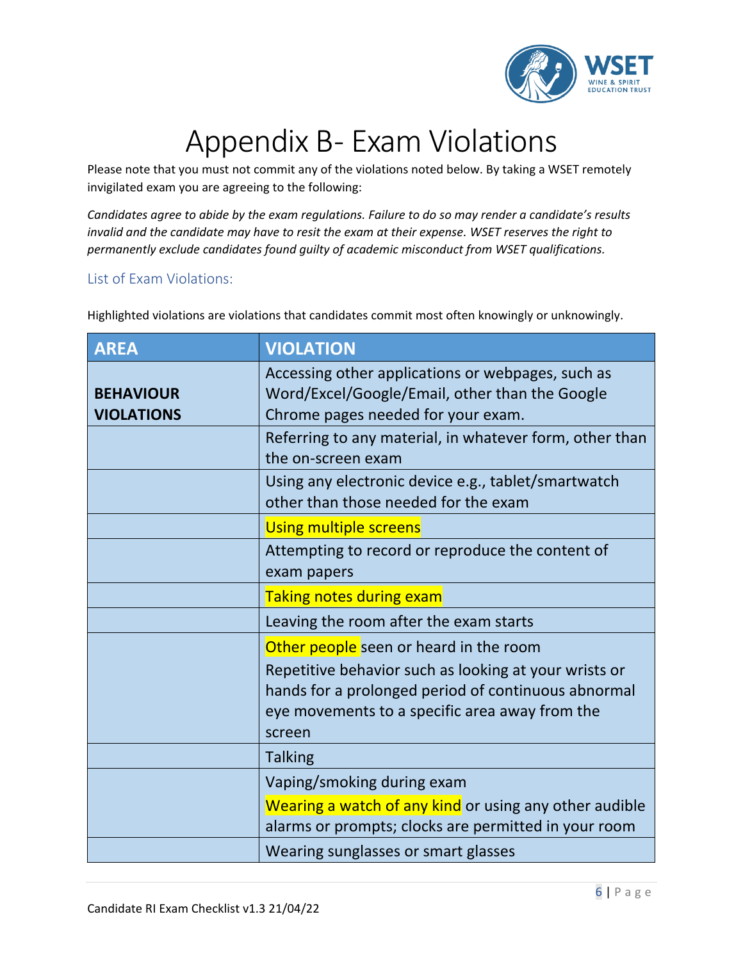

# Appendix B- Exam Violations

Please note that you must not commit any of the violations noted below. By taking a WSET remotely invigilated exam you are agreeing to the following:

*Candidates agree to abide by the exam regulations. Failure to do so may render a candidate's results invalid and the candidate may have to resit the exam at their expense. WSET reserves the right to permanently exclude candidates found guilty of academic misconduct from WSET qualifications.*

### List of Exam Violations:

**AREA VIOLATION BEHAVIOUR VIOLATIONS** Accessing other applications or webpages, such as Word/Excel/Google/Email, other than the Google Chrome pages needed for your exam. Referring to any material, in whatever form, other than the on-screen exam Using any electronic device e.g., tablet/smartwatch other than those needed for the exam Using multiple screens Attempting to record or reproduce the content of exam papers Taking notes during exam Leaving the room after the exam starts Other people seen or heard in the room Repetitive behavior such as looking at your wrists or hands for a prolonged period of continuous abnormal eye movements to a specific area away from the screen Talking

Highlighted violations are violations that candidates commit most often knowingly or unknowingly.

|  | <b>Talking</b>                                         |
|--|--------------------------------------------------------|
|  | Vaping/smoking during exam                             |
|  | Wearing a watch of any kind or using any other audible |
|  | alarms or prompts; clocks are permitted in your room   |
|  | Wearing sunglasses or smart glasses                    |
|  |                                                        |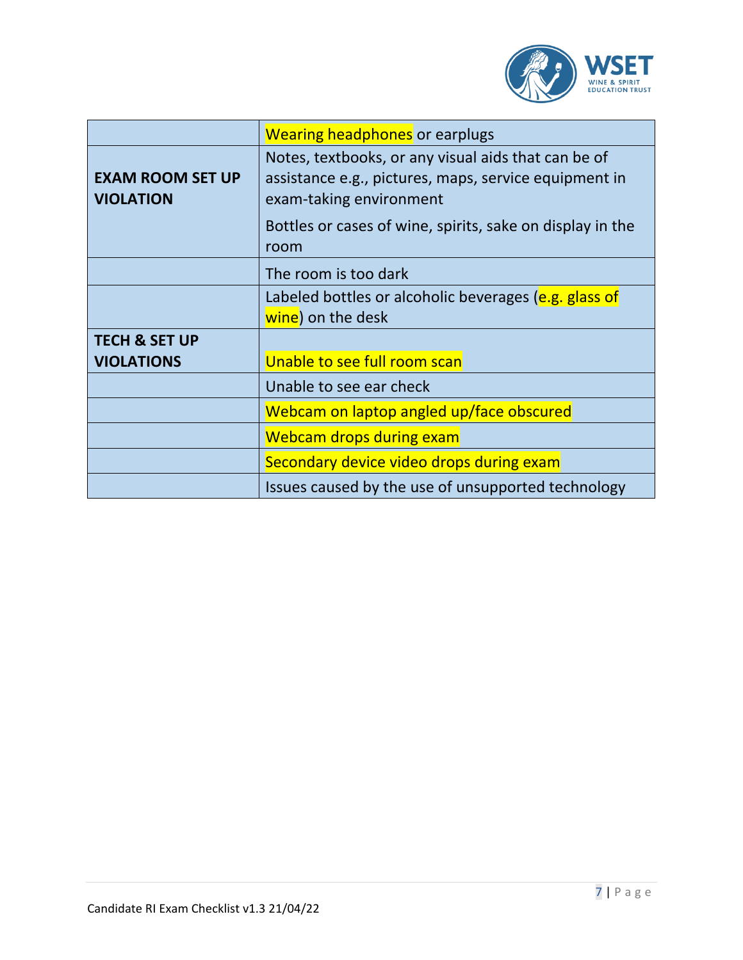

|                          | <b>Wearing headphones</b> or earplugs                                                                        |
|--------------------------|--------------------------------------------------------------------------------------------------------------|
| <b>EXAM ROOM SET UP</b>  | Notes, textbooks, or any visual aids that can be of<br>assistance e.g., pictures, maps, service equipment in |
| <b>VIOLATION</b>         | exam-taking environment                                                                                      |
|                          | Bottles or cases of wine, spirits, sake on display in the<br>room                                            |
|                          | The room is too dark                                                                                         |
|                          | Labeled bottles or alcoholic beverages (e.g. glass of                                                        |
|                          | wine) on the desk                                                                                            |
| <b>TECH &amp; SET UP</b> |                                                                                                              |
| <b>VIOLATIONS</b>        | Unable to see full room scan                                                                                 |
|                          | Unable to see ear check                                                                                      |
|                          | Webcam on laptop angled up/face obscured                                                                     |
|                          | <b>Webcam drops during exam</b>                                                                              |
|                          | Secondary device video drops during exam                                                                     |
|                          | Issues caused by the use of unsupported technology                                                           |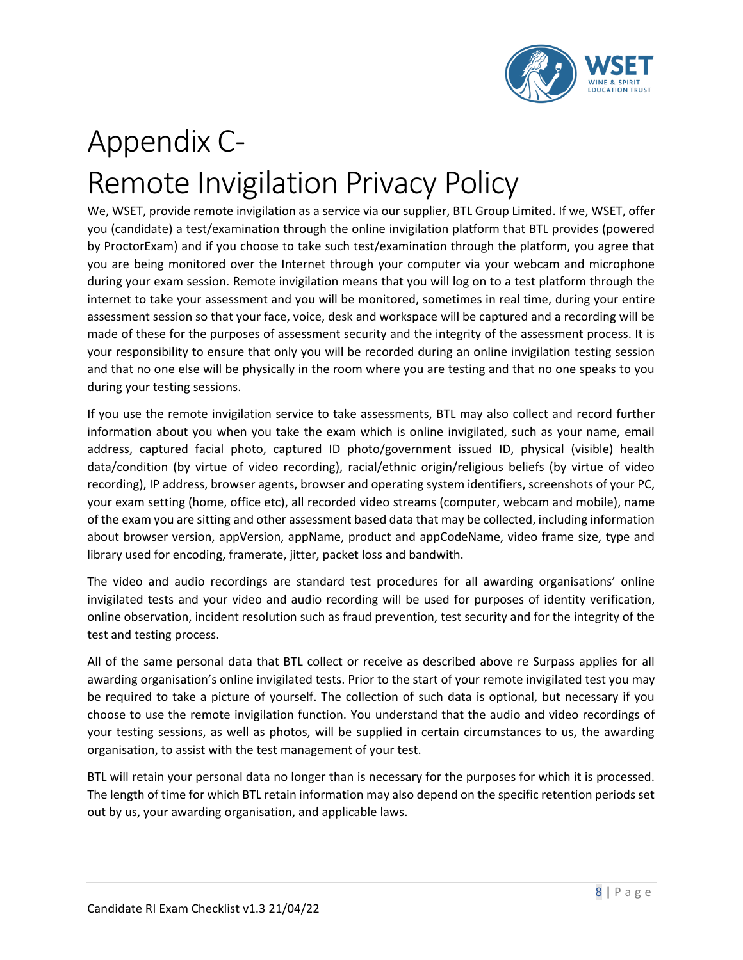

## Appendix C-Remote Invigilation Privacy Policy

We, WSET, provide remote invigilation as a service via our supplier, BTL Group Limited. If we, WSET, offer you (candidate) a test/examination through the online invigilation platform that BTL provides (powered by ProctorExam) and if you choose to take such test/examination through the platform, you agree that you are being monitored over the Internet through your computer via your webcam and microphone during your exam session. Remote invigilation means that you will log on to a test platform through the internet to take your assessment and you will be monitored, sometimes in real time, during your entire assessment session so that your face, voice, desk and workspace will be captured and a recording will be made of these for the purposes of assessment security and the integrity of the assessment process. It is your responsibility to ensure that only you will be recorded during an online invigilation testing session and that no one else will be physically in the room where you are testing and that no one speaks to you during your testing sessions.

If you use the remote invigilation service to take assessments, BTL may also collect and record further information about you when you take the exam which is online invigilated, such as your name, email address, captured facial photo, captured ID photo/government issued ID, physical (visible) health data/condition (by virtue of video recording), racial/ethnic origin/religious beliefs (by virtue of video recording), IP address, browser agents, browser and operating system identifiers, screenshots of your PC, your exam setting (home, office etc), all recorded video streams (computer, webcam and mobile), name of the exam you are sitting and other assessment based data that may be collected, including information about browser version, appVersion, appName, product and appCodeName, video frame size, type and library used for encoding, framerate, jitter, packet loss and bandwith.

The video and audio recordings are standard test procedures for all awarding organisations' online invigilated tests and your video and audio recording will be used for purposes of identity verification, online observation, incident resolution such as fraud prevention, test security and for the integrity of the test and testing process.

All of the same personal data that BTL collect or receive as described above re Surpass applies for all awarding organisation's online invigilated tests. Prior to the start of your remote invigilated test you may be required to take a picture of yourself. The collection of such data is optional, but necessary if you choose to use the remote invigilation function. You understand that the audio and video recordings of your testing sessions, as well as photos, will be supplied in certain circumstances to us, the awarding organisation, to assist with the test management of your test.

BTL will retain your personal data no longer than is necessary for the purposes for which it is processed. The length of time for which BTL retain information may also depend on the specific retention periods set out by us, your awarding organisation, and applicable laws.